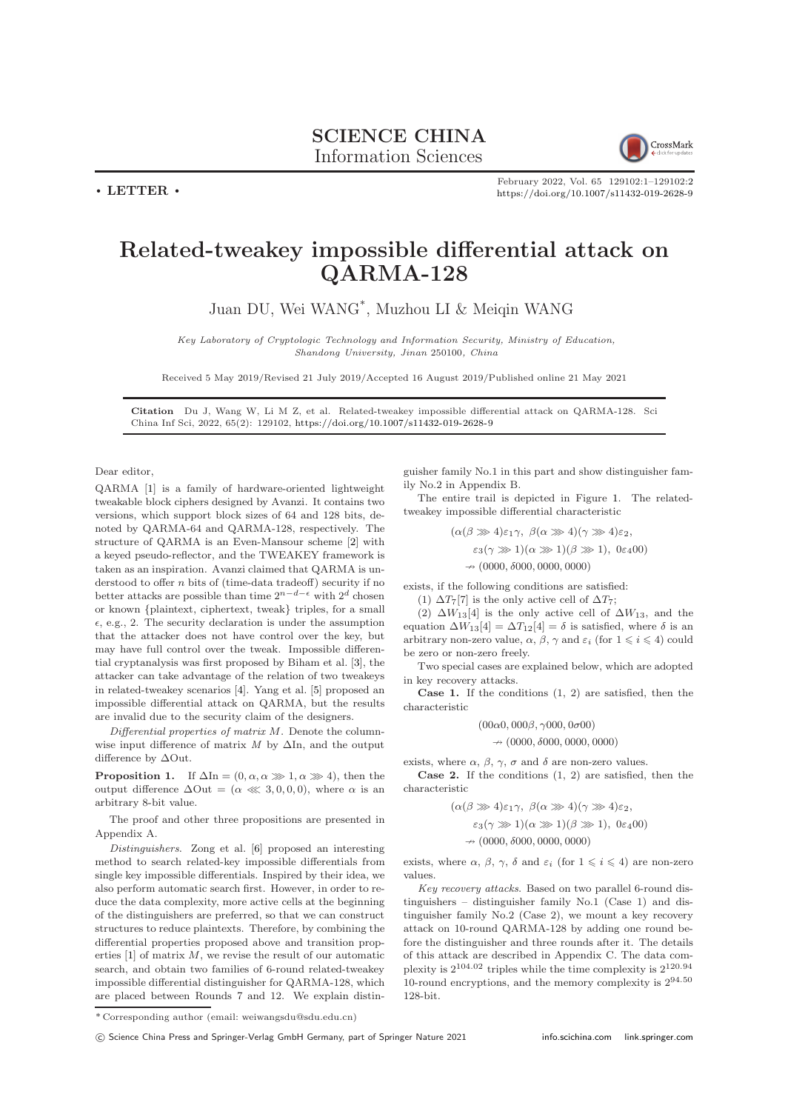## SCIENCE CHINA Information Sciences



February 2022, Vol. 65 129102:1–129102[:2](#page-1-0) <https://doi.org/10.1007/s11432-019-2628-9>

## Related-tweakey impossible differential attack on QARMA-128

Juan DU, Wei WANG\* , Muzhou LI & Meiqin WANG

Key Laboratory of Cryptologic Technology and Information Security, Ministry of Education, Shandong University, Jinan 250100, China

Received 5 May 2019/Revised 21 July 2019/Accepted 16 August 2019/Published online 21 May 2021

Citation Du J, Wang W, Li M Z, et al. Related-tweakey impossible differential attack on QARMA-128. Sci China Inf Sci, 2022, 65(2): 129102, <https://doi.org/10.1007/s11432-019-2628-9>

Dear editor,

 $\cdot$  LETTER  $\cdot$ 

QARMA [\[1\]](#page-1-1) is a family of hardware-oriented lightweight tweakable block ciphers designed by Avanzi. It contains two versions, which support block sizes of 64 and 128 bits, denoted by QARMA-64 and QARMA-128, respectively. The structure of QARMA is an Even-Mansour scheme [\[2\]](#page-1-2) with a keyed pseudo-reflector, and the TWEAKEY framework is taken as an inspiration. Avanzi claimed that QARMA is understood to offer *n* bits of (time-data tradeoff) security if no better attacks are possible than time  $2^{n-d-\epsilon}$  with  $2^d$  chosen or known {plaintext, ciphertext, tweak} triples, for a small  $\epsilon$ , e.g., 2. The security declaration is under the assumption that the attacker does not have control over the key, but may have full control over the tweak. Impossible differential cryptanalysis was first proposed by Biham et al. [\[3\]](#page-1-3), the attacker can take advantage of the relation of two tweakeys in related-tweakey scenarios [\[4\]](#page-1-4). Yang et al. [\[5\]](#page-1-5) proposed an impossible differential attack on QARMA, but the results are invalid due to the security claim of the designers.

Differential properties of matrix  $M$ . Denote the columnwise input difference of matrix  $M$  by  $\Delta$ In, and the output difference by ∆Out.

**Proposition 1.** If  $\Delta \text{In} = (0, \alpha, \alpha \gg 1, \alpha \gg 4)$ , then the output difference  $\Delta$ Out = ( $\alpha \ll 3, 0, 0, 0$ ), where  $\alpha$  is an arbitrary 8-bit value.

The proof and other three propositions are presented in Appendix A.

Distinguishers. Zong et al. [\[6\]](#page-1-6) proposed an interesting method to search related-key impossible differentials from single key impossible differentials. Inspired by their idea, we also perform automatic search first. However, in order to reduce the data complexity, more active cells at the beginning of the distinguishers are preferred, so that we can construct structures to reduce plaintexts. Therefore, by combining the differential properties proposed above and transition properties  $[1]$  of matrix  $M$ , we revise the result of our automatic search, and obtain two families of 6-round related-tweakey impossible differential distinguisher for QARMA-128, which are placed between Rounds 7 and 12. We explain distinguisher family No.1 in this part and show distinguisher family No.2 in Appendix B.

The entire trail is depicted in Figure [1.](#page-1-7) The relatedtweakey impossible differential characteristic

> $(\alpha(\beta \gg 4)\varepsilon_1\gamma, \ \beta(\alpha \gg 4)(\gamma \gg 4)\varepsilon_2,$  $\varepsilon_3(\gamma \gg 1)(\alpha \gg 1)(\beta \gg 1), 0\varepsilon_4 00)$  $\rightarrow$  (0000,  $\delta$ 000, 0000, 0000)

exists, if the following conditions are satisfied:

(1)  $\Delta T_7[7]$  is the only active cell of  $\Delta T_7$ ;

(2)  $\Delta W_{13}$ [4] is the only active cell of  $\Delta W_{13}$ , and the equation  $\Delta W_{13}[4] = \Delta T_{12}[4] = \delta$  is satisfied, where  $\delta$  is an arbitrary non-zero value,  $\alpha$ ,  $\beta$ ,  $\gamma$  and  $\varepsilon_i$  (for  $1 \leq i \leq 4$ ) could be zero or non-zero freely.

Two special cases are explained below, which are adopted in key recovery attacks.

Case 1. If the conditions (1, 2) are satisfied, then the characteristic

 $(00\alpha0, 000\beta, \gamma000, 0\sigma00)$ 

$$
\nrightarrow (0000, \delta 000, 0000, 0000)
$$

exists, where  $\alpha$ ,  $\beta$ ,  $\gamma$ ,  $\sigma$  and  $\delta$  are non-zero values. Case 2. If the conditions (1, 2) are satisfied, then the characteristic

$$
(\alpha(\beta \gg 4)\varepsilon_1\gamma, \ \beta(\alpha \gg 4)(\gamma \gg 4)\varepsilon_2,
$$

$$
\varepsilon_3(\gamma \gg 1)(\alpha \gg 1)(\beta \gg 1), \ 0\epsilon_4(0)
$$

 $\rightarrow$  (0000,  $\delta$ 000, 0000, 0000)

exists, where  $\alpha$ ,  $\beta$ ,  $\gamma$ ,  $\delta$  and  $\varepsilon_i$  (for  $1 \leq i \leq 4$ ) are non-zero values.

Key recovery attacks. Based on two parallel 6-round distinguishers – distinguisher family No.1 (Case 1) and distinguisher family No.2 (Case 2), we mount a key recovery attack on 10-round QARMA-128 by adding one round before the distinguisher and three rounds after it. The details of this attack are described in Appendix C. The data complexity is 2104.<sup>02</sup> triples while the time complexity is 2120.<sup>94</sup> 10-round encryptions, and the memory complexity is 294.<sup>50</sup> 128-bit.

c Science China Press and Springer-Verlag GmbH Germany, part of Springer Nature 2021 <info.scichina.com><link.springer.com>

<sup>\*</sup> Corresponding author (email: weiwangsdu@sdu.edu.cn)